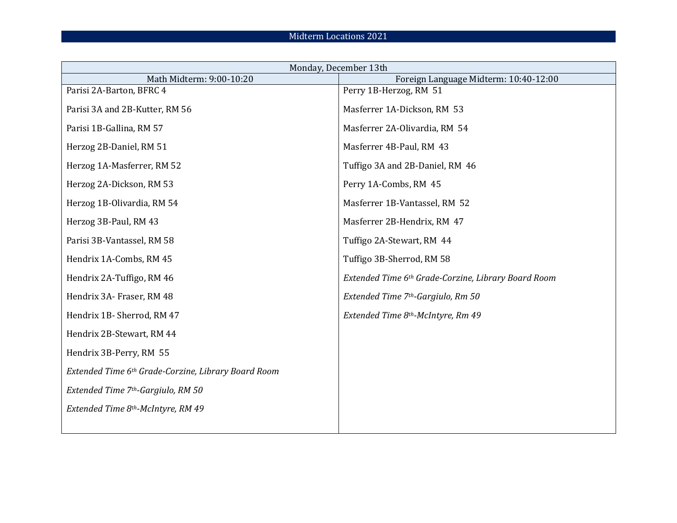| Monday, December 13th                               |                                                     |  |
|-----------------------------------------------------|-----------------------------------------------------|--|
| Math Midterm: 9:00-10:20                            | Foreign Language Midterm: 10:40-12:00               |  |
| Parisi 2A-Barton, BFRC 4                            | Perry 1B-Herzog, RM 51                              |  |
| Parisi 3A and 2B-Kutter, RM 56                      | Masferrer 1A-Dickson, RM 53                         |  |
| Parisi 1B-Gallina, RM 57                            | Masferrer 2A-Olivardia, RM 54                       |  |
| Herzog 2B-Daniel, RM 51                             | Masferrer 4B-Paul, RM 43                            |  |
| Herzog 1A-Masferrer, RM 52                          | Tuffigo 3A and 2B-Daniel, RM 46                     |  |
| Herzog 2A-Dickson, RM 53                            | Perry 1A-Combs, RM 45                               |  |
| Herzog 1B-Olivardia, RM 54                          | Masferrer 1B-Vantassel, RM 52                       |  |
| Herzog 3B-Paul, RM 43                               | Masferrer 2B-Hendrix, RM 47                         |  |
| Parisi 3B-Vantassel, RM 58                          | Tuffigo 2A-Stewart, RM 44                           |  |
| Hendrix 1A-Combs, RM 45                             | Tuffigo 3B-Sherrod, RM 58                           |  |
| Hendrix 2A-Tuffigo, RM 46                           | Extended Time 6th Grade-Corzine, Library Board Room |  |
| Hendrix 3A- Fraser, RM 48                           | Extended Time 7 <sup>th</sup> -Gargiulo, Rm 50      |  |
| Hendrix 1B-Sherrod, RM 47                           | Extended Time 8th-McIntyre, Rm 49                   |  |
| Hendrix 2B-Stewart, RM 44                           |                                                     |  |
| Hendrix 3B-Perry, RM 55                             |                                                     |  |
| Extended Time 6th Grade-Corzine, Library Board Room |                                                     |  |
| Extended Time 7th-Gargiulo, RM 50                   |                                                     |  |
| Extended Time 8th-McIntyre, RM 49                   |                                                     |  |
|                                                     |                                                     |  |